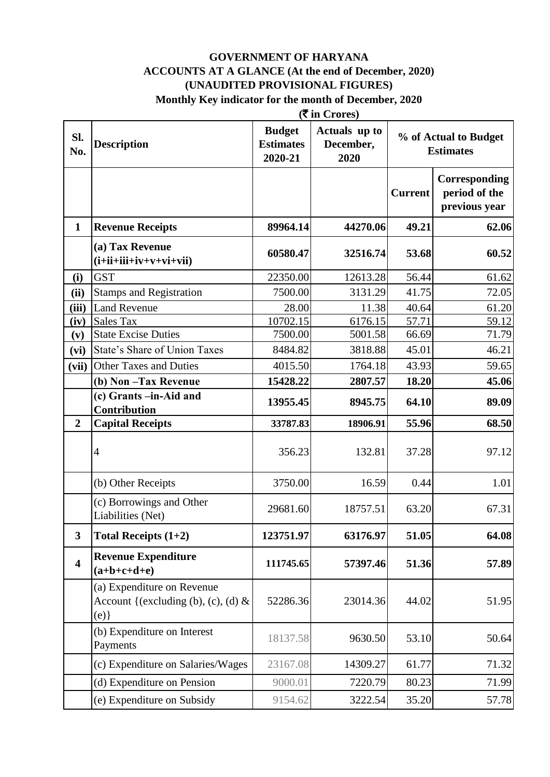#### **GOVERNMENT OF HARYANA ACCOUNTS AT A GLANCE (At the end of December, 2020) (UNAUDITED PROVISIONAL FIGURES) Monthly Key indicator for the month of December, 2020**

|                         | $(\overline{\mathbf{\overline{z}}}$ in Crores)                           |                                              |                                    |                |                                                 |
|-------------------------|--------------------------------------------------------------------------|----------------------------------------------|------------------------------------|----------------|-------------------------------------------------|
| Sl.<br>No.              | <b>Description</b>                                                       | <b>Budget</b><br><b>Estimates</b><br>2020-21 | Actuals up to<br>December,<br>2020 |                | % of Actual to Budget<br><b>Estimates</b>       |
|                         |                                                                          |                                              |                                    | <b>Current</b> | Corresponding<br>period of the<br>previous year |
| $\mathbf{1}$            | <b>Revenue Receipts</b>                                                  | 89964.14                                     | 44270.06                           | 49.21          | 62.06                                           |
|                         | (a) Tax Revenue<br>$(i+ii+iii+iv+v+vi+vii)$                              | 60580.47                                     | 32516.74                           | 53.68          | 60.52                                           |
| (i)                     | <b>GST</b>                                                               | 22350.00                                     | 12613.28                           | 56.44          | 61.62                                           |
| (ii)                    | <b>Stamps and Registration</b>                                           | 7500.00                                      | 3131.29                            | 41.75          | 72.05                                           |
| (iii)                   | <b>Land Revenue</b>                                                      | 28.00                                        | 11.38                              | 40.64          | 61.20                                           |
| (iv)                    | <b>Sales Tax</b>                                                         | 10702.15                                     | 6176.15                            | 57.71          | 59.12                                           |
| (v)                     | <b>State Excise Duties</b>                                               | 7500.00                                      | 5001.58                            | 66.69          | 71.79                                           |
| (vi)                    | State's Share of Union Taxes                                             | 8484.82                                      | 3818.88                            | 45.01          | 46.21                                           |
| (vii)                   | <b>Other Taxes and Duties</b>                                            | 4015.50                                      | 1764.18                            | 43.93          | 59.65                                           |
|                         | (b) Non-Tax Revenue                                                      | 15428.22                                     | 2807.57                            | 18.20          | 45.06                                           |
|                         | (c) Grants -in-Aid and<br><b>Contribution</b>                            | 13955.45                                     | 8945.75                            | 64.10          | 89.09                                           |
| $\overline{2}$          | <b>Capital Receipts</b>                                                  | 33787.83                                     | 18906.91                           | 55.96          | 68.50                                           |
|                         | 4                                                                        | 356.23                                       | 132.81                             | 37.28          | 97.12                                           |
|                         | (b) Other Receipts                                                       | 3750.00                                      | 16.59                              | 0.44           | 1.01                                            |
|                         | (c) Borrowings and Other<br>Liabilities (Net)                            | 29681.60                                     | 18757.51                           | 63.20          | 67.31                                           |
| $\overline{\mathbf{3}}$ | Total Receipts $(1+2)$                                                   | 123751.97                                    | 63176.97                           | 51.05          | 64.08                                           |
| $\overline{\mathbf{4}}$ | <b>Revenue Expenditure</b><br>$(a+b+c+d+e)$                              | 111745.65                                    | 57397.46                           | 51.36          | 57.89                                           |
|                         | (a) Expenditure on Revenue<br>Account {(excluding (b), (c), (d) &<br>(e) | 52286.36                                     | 23014.36                           | 44.02          | 51.95                                           |
|                         | (b) Expenditure on Interest<br>Payments                                  | 18137.58                                     | 9630.50                            | 53.10          | 50.64                                           |
|                         | (c) Expenditure on Salaries/Wages                                        | 23167.08                                     | 14309.27                           | 61.77          | 71.32                                           |
|                         | (d) Expenditure on Pension                                               | 9000.01                                      | 7220.79                            | 80.23          | 71.99                                           |
|                         | (e) Expenditure on Subsidy                                               | 9154.62                                      | 3222.54                            | 35.20          | 57.78                                           |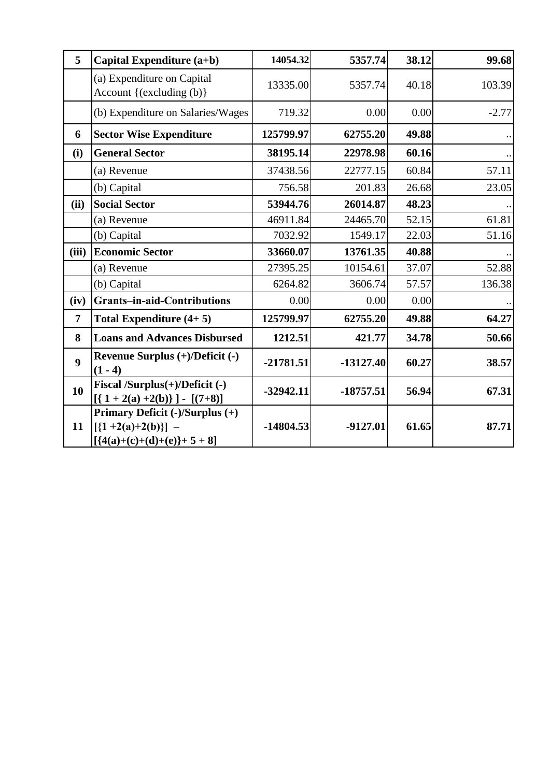| 5              | Capital Expenditure (a+b)                                                                | 14054.32    | 5357.74     | 38.12 | 99.68   |
|----------------|------------------------------------------------------------------------------------------|-------------|-------------|-------|---------|
|                | (a) Expenditure on Capital<br>Account {(excluding (b)}                                   | 13335.00    | 5357.74     | 40.18 | 103.39  |
|                | (b) Expenditure on Salaries/Wages                                                        | 719.32      | 0.00        | 0.00  | $-2.77$ |
| 6              | <b>Sector Wise Expenditure</b>                                                           | 125799.97   | 62755.20    | 49.88 |         |
| (i)            | <b>General Sector</b>                                                                    | 38195.14    | 22978.98    | 60.16 |         |
|                | (a) Revenue                                                                              | 37438.56    | 22777.15    | 60.84 | 57.11   |
|                | (b) Capital                                                                              | 756.58      | 201.83      | 26.68 | 23.05   |
| (ii)           | <b>Social Sector</b>                                                                     | 53944.76    | 26014.87    | 48.23 |         |
|                | (a) Revenue                                                                              | 46911.84    | 24465.70    | 52.15 | 61.81   |
|                | (b) Capital                                                                              | 7032.92     | 1549.17     | 22.03 | 51.16   |
| (iii)          | <b>Economic Sector</b>                                                                   | 33660.07    | 13761.35    | 40.88 |         |
|                | (a) Revenue                                                                              | 27395.25    | 10154.61    | 37.07 | 52.88   |
|                | (b) Capital                                                                              | 6264.82     | 3606.74     | 57.57 | 136.38  |
| (iv)           | <b>Grants-in-aid-Contributions</b>                                                       | 0.00        | 0.00        | 0.00  |         |
| $\overline{7}$ | Total Expenditure $(4+5)$                                                                | 125799.97   | 62755.20    | 49.88 | 64.27   |
| 8              | <b>Loans and Advances Disbursed</b>                                                      | 1212.51     | 421.77      | 34.78 | 50.66   |
| 9              | Revenue Surplus (+)/Deficit (-)<br>$(1 - 4)$                                             | $-21781.51$ | $-13127.40$ | 60.27 | 38.57   |
| 10             | Fiscal /Surplus(+)/Deficit (-)<br>$[(1+2(a)+2(b))] - [(7+8)]$                            | $-32942.11$ | $-18757.51$ | 56.94 | 67.31   |
| 11             | Primary Deficit (-)/Surplus (+)<br>$[\{1+2(a)+2(b)\}]$ –<br>$[ {4(a)+(c)+(d)+(e)}+5+8 ]$ | $-14804.53$ | $-9127.01$  | 61.65 | 87.71   |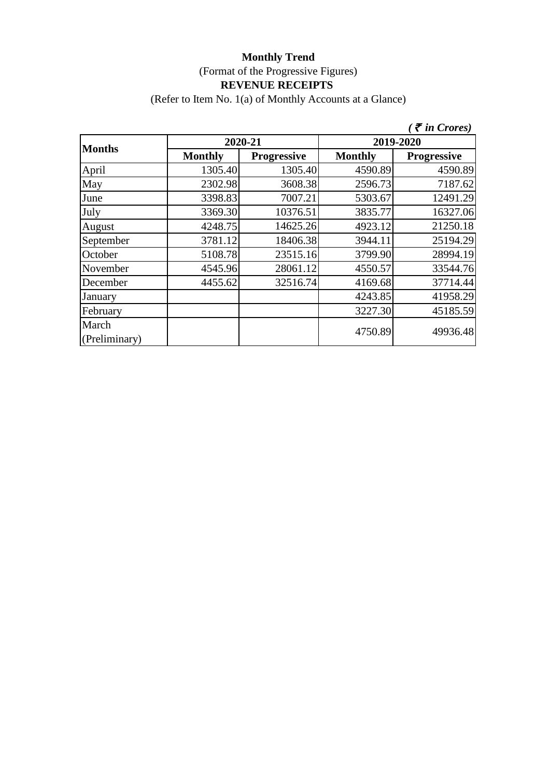(Refer to Item No. 1(a) of Monthly Accounts at a Glance)

|                        |                |                    |                | $\zeta \bar{\tau}$ in Crores) |  |
|------------------------|----------------|--------------------|----------------|-------------------------------|--|
| <b>Months</b>          |                | 2020-21            | 2019-2020      |                               |  |
|                        | <b>Monthly</b> | <b>Progressive</b> | <b>Monthly</b> | <b>Progressive</b>            |  |
| April                  | 1305.40        | 1305.40            | 4590.89        | 4590.89                       |  |
| May                    | 2302.98        | 3608.38            | 2596.73        | 7187.62                       |  |
| June                   | 3398.83        | 7007.21            | 5303.67        | 12491.29                      |  |
| July                   | 3369.30        | 10376.51           | 3835.77        | 16327.06                      |  |
| August                 | 4248.75        | 14625.26           | 4923.12        | 21250.18                      |  |
| September              | 3781.12        | 18406.38           | 3944.11        | 25194.29                      |  |
| October                | 5108.78        | 23515.16           | 3799.90        | 28994.19                      |  |
| November               | 4545.96        | 28061.12           | 4550.57        | 33544.76                      |  |
| December               | 4455.62        | 32516.74           | 4169.68        | 37714.44                      |  |
| January                |                |                    | 4243.85        | 41958.29                      |  |
| February               |                |                    | 3227.30        | 45185.59                      |  |
| March<br>(Preliminary) |                |                    | 4750.89        | 49936.48                      |  |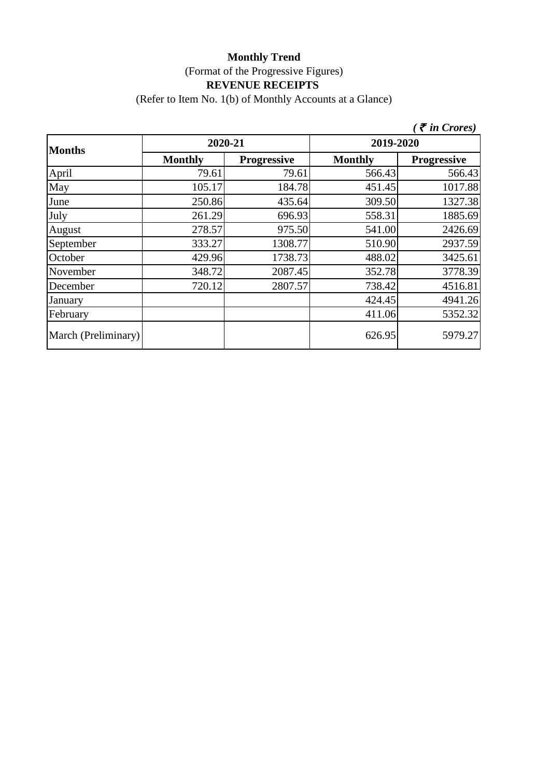(Refer to Item No. 1(b) of Monthly Accounts at a Glance)

|                     |                |                    |                | $\zeta$ $\bar{\zeta}$ in Crores) |
|---------------------|----------------|--------------------|----------------|----------------------------------|
| <b>Months</b>       | 2020-21        |                    | 2019-2020      |                                  |
|                     | <b>Monthly</b> | <b>Progressive</b> | <b>Monthly</b> | <b>Progressive</b>               |
| April               | 79.61          | 79.61              | 566.43         | 566.43                           |
| May                 | 105.17         | 184.78             | 451.45         | 1017.88                          |
| June                | 250.86         | 435.64             | 309.50         | 1327.38                          |
| July                | 261.29         | 696.93             | 558.31         | 1885.69                          |
| August              | 278.57         | 975.50             | 541.00         | 2426.69                          |
| September           | 333.27         | 1308.77            | 510.90         | 2937.59                          |
| October             | 429.96         | 1738.73            | 488.02         | 3425.61                          |
| November            | 348.72         | 2087.45            | 352.78         | 3778.39                          |
| December            | 720.12         | 2807.57            | 738.42         | 4516.81                          |
| January             |                |                    | 424.45         | 4941.26                          |
| February            |                |                    | 411.06         | 5352.32                          |
| March (Preliminary) |                |                    | 626.95         | 5979.27                          |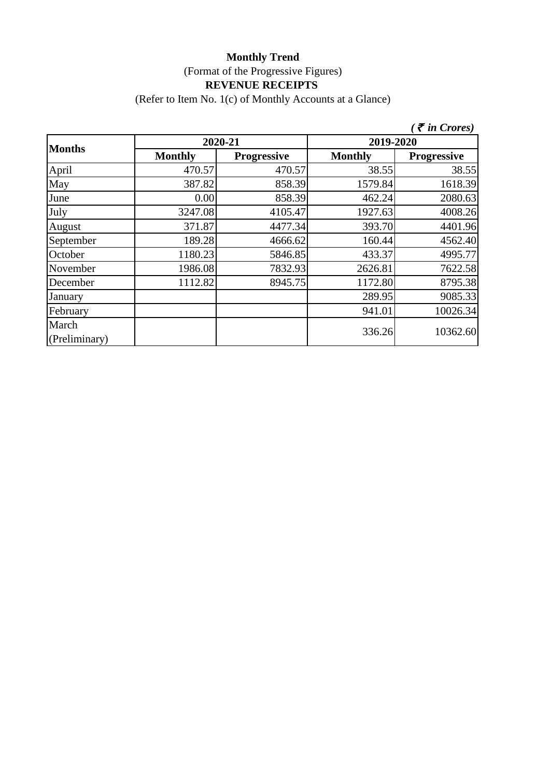(Refer to Item No. 1(c) of Monthly Accounts at a Glance)

|                        |                |                    |                | $\zeta$ $\bar{\zeta}$ in Crores) |  |
|------------------------|----------------|--------------------|----------------|----------------------------------|--|
|                        | 2020-21        |                    | 2019-2020      |                                  |  |
| <b>Months</b>          | <b>Monthly</b> | <b>Progressive</b> | <b>Monthly</b> | <b>Progressive</b>               |  |
| April                  | 470.57         | 470.57             | 38.55          | 38.55                            |  |
| May                    | 387.82         | 858.39             | 1579.84        | 1618.39                          |  |
| June                   | 0.00           | 858.39             | 462.24         | 2080.63                          |  |
| July                   | 3247.08        | 4105.47            | 1927.63        | 4008.26                          |  |
| August                 | 371.87         | 4477.34            | 393.70         | 4401.96                          |  |
| September              | 189.28         | 4666.62            | 160.44         | 4562.40                          |  |
| October                | 1180.23        | 5846.85            | 433.37         | 4995.77                          |  |
| November               | 1986.08        | 7832.93            | 2626.81        | 7622.58                          |  |
| December               | 1112.82        | 8945.75            | 1172.80        | 8795.38                          |  |
| January                |                |                    | 289.95         | 9085.33                          |  |
| February               |                |                    | 941.01         | 10026.34                         |  |
| March<br>(Preliminary) |                |                    | 336.26         | 10362.60                         |  |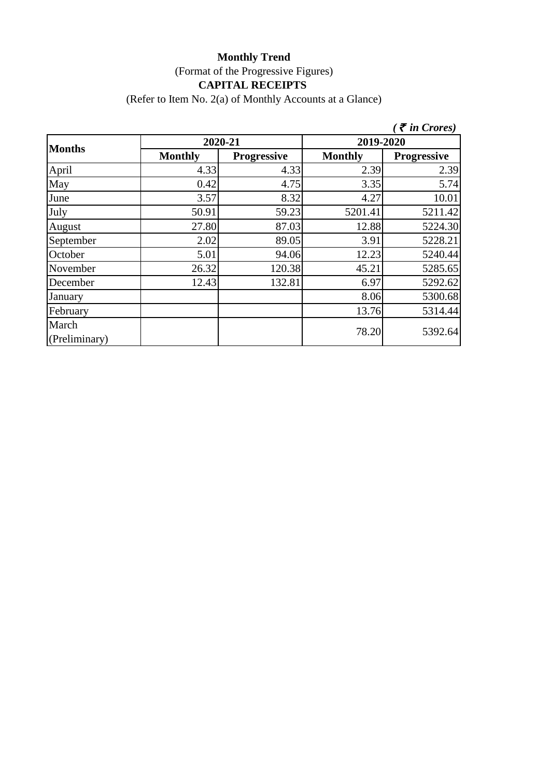# **Monthly Trend** (Format of the Progressive Figures) **CAPITAL RECEIPTS**

(Refer to Item No. 2(a) of Monthly Accounts at a Glance)

|                        |                |                    |                | $\zeta$ $\bar{\zeta}$ in Crores) |
|------------------------|----------------|--------------------|----------------|----------------------------------|
| <b>Months</b>          | 2020-21        |                    | 2019-2020      |                                  |
|                        | <b>Monthly</b> | <b>Progressive</b> | <b>Monthly</b> | <b>Progressive</b>               |
| April                  | 4.33           | 4.33               | 2.39           | 2.39                             |
| May                    | 0.42           | 4.75               | 3.35           | 5.74                             |
| June                   | 3.57           | 8.32               | 4.27           | 10.01                            |
| July                   | 50.91          | 59.23              | 5201.41        | 5211.42                          |
| August                 | 27.80          | 87.03              | 12.88          | 5224.30                          |
| September              | 2.02           | 89.05              | 3.91           | 5228.21                          |
| October                | 5.01           | 94.06              | 12.23          | 5240.44                          |
| November               | 26.32          | 120.38             | 45.21          | 5285.65                          |
| December               | 12.43          | 132.81             | 6.97           | 5292.62                          |
| January                |                |                    | 8.06           | 5300.68                          |
| February               |                |                    | 13.76          | 5314.44                          |
| March<br>(Preliminary) |                |                    | 78.20          | 5392.64                          |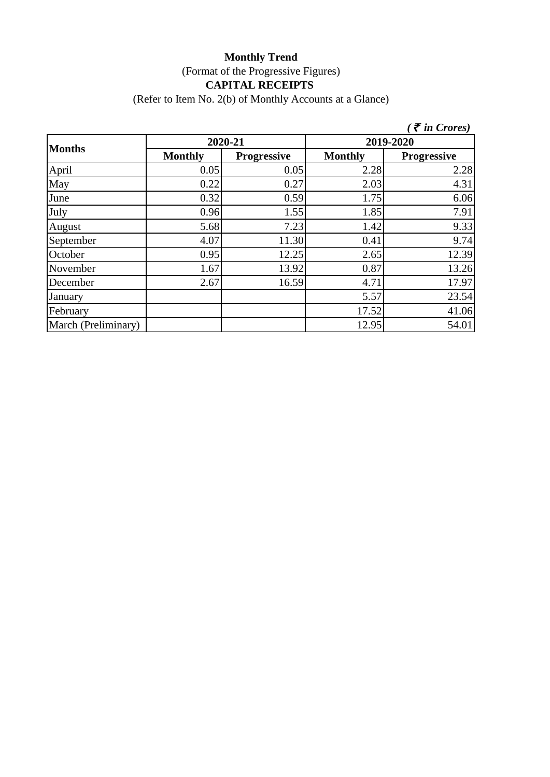# **Monthly Trend** (Format of the Progressive Figures) **CAPITAL RECEIPTS**

(Refer to Item No. 2(b) of Monthly Accounts at a Glance)

|                     |                |                    |                | $\zeta$ $\bar{\zeta}$ in Crores) |  |
|---------------------|----------------|--------------------|----------------|----------------------------------|--|
| <b>Months</b>       | 2020-21        |                    | 2019-2020      |                                  |  |
|                     | <b>Monthly</b> | <b>Progressive</b> | <b>Monthly</b> | <b>Progressive</b>               |  |
| April               | 0.05           | 0.05               | 2.28           | 2.28                             |  |
| May                 | 0.22           | 0.27               | 2.03           | 4.31                             |  |
| June                | 0.32           | 0.59               | 1.75           | 6.06                             |  |
| July                | 0.96           | 1.55               | 1.85           | 7.91                             |  |
| August              | 5.68           | 7.23               | 1.42           | 9.33                             |  |
| September           | 4.07           | 11.30              | 0.41           | 9.74                             |  |
| October             | 0.95           | 12.25              | 2.65           | 12.39                            |  |
| November            | 1.67           | 13.92              | 0.87           | 13.26                            |  |
| December            | 2.67           | 16.59              | 4.71           | 17.97                            |  |
| January             |                |                    | 5.57           | 23.54                            |  |
| February            |                |                    | 17.52          | 41.06                            |  |
| March (Preliminary) |                |                    | 12.95          | 54.01                            |  |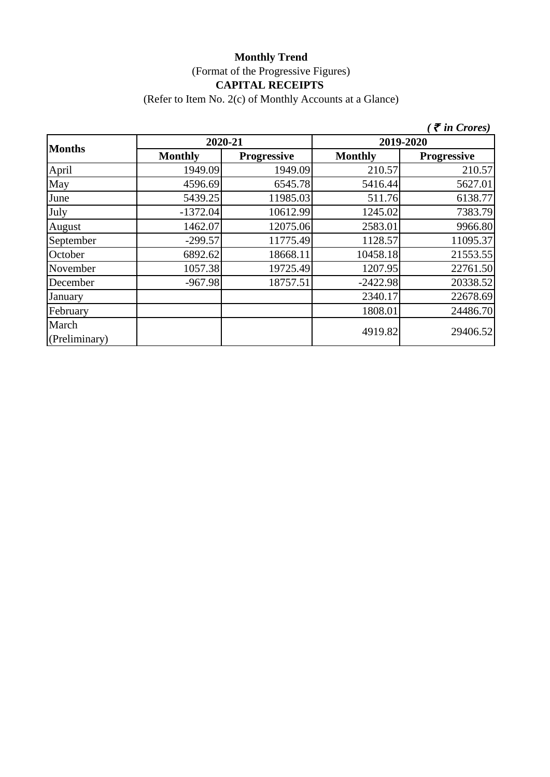# **Monthly Trend** (Format of the Progressive Figures) **CAPITAL RECEIPTS**

(Refer to Item No. 2(c) of Monthly Accounts at a Glance)

|                        |                |                    |                | $\zeta$ $\bar{\zeta}$ in Crores) |  |
|------------------------|----------------|--------------------|----------------|----------------------------------|--|
| <b>Months</b>          | 2020-21        |                    | 2019-2020      |                                  |  |
|                        | <b>Monthly</b> | <b>Progressive</b> | <b>Monthly</b> | <b>Progressive</b>               |  |
| April                  | 1949.09        | 1949.09            | 210.57         | 210.57                           |  |
| May                    | 4596.69        | 6545.78            | 5416.44        | 5627.01                          |  |
| June                   | 5439.25        | 11985.03           | 511.76         | 6138.77                          |  |
| July                   | $-1372.04$     | 10612.99           | 1245.02        | 7383.79                          |  |
| August                 | 1462.07        | 12075.06           | 2583.01        | 9966.80                          |  |
| September              | $-299.57$      | 11775.49           | 1128.57        | 11095.37                         |  |
| October                | 6892.62        | 18668.11           | 10458.18       | 21553.55                         |  |
| November               | 1057.38        | 19725.49           | 1207.95        | 22761.50                         |  |
| December               | $-967.98$      | 18757.51           | $-2422.98$     | 20338.52                         |  |
| January                |                |                    | 2340.17        | 22678.69                         |  |
| February               |                |                    | 1808.01        | 24486.70                         |  |
| March<br>(Preliminary) |                |                    | 4919.82        | 29406.52                         |  |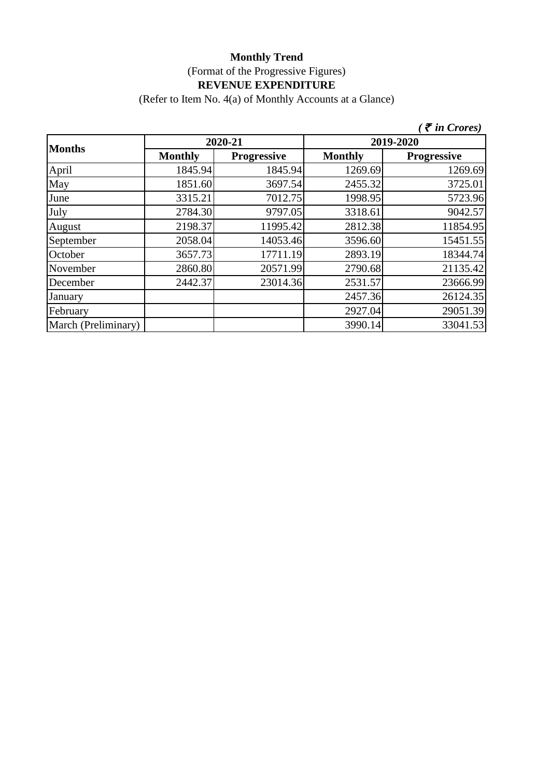(Refer to Item No. 4(a) of Monthly Accounts at a Glance)

|                     |                |                    |                | $\zeta$ <i>( <math>\bar{\zeta}</math> in Crores)</i> |
|---------------------|----------------|--------------------|----------------|------------------------------------------------------|
|                     | 2020-21        |                    |                | 2019-2020                                            |
| <b>Months</b>       | <b>Monthly</b> | <b>Progressive</b> | <b>Monthly</b> | <b>Progressive</b>                                   |
| April               | 1845.94        | 1845.94            | 1269.69        | 1269.69                                              |
| May                 | 1851.60        | 3697.54            | 2455.32        | 3725.01                                              |
| June                | 3315.21        | 7012.75            | 1998.95        | 5723.96                                              |
| July                | 2784.30        | 9797.05            | 3318.61        | 9042.57                                              |
| August              | 2198.37        | 11995.42           | 2812.38        | 11854.95                                             |
| September           | 2058.04        | 14053.46           | 3596.60        | 15451.55                                             |
| October             | 3657.73        | 17711.19           | 2893.19        | 18344.74                                             |
| November            | 2860.80        | 20571.99           | 2790.68        | 21135.42                                             |
| December            | 2442.37        | 23014.36           | 2531.57        | 23666.99                                             |
| January             |                |                    | 2457.36        | 26124.35                                             |
| February            |                |                    | 2927.04        | 29051.39                                             |
| March (Preliminary) |                |                    | 3990.14        | 33041.53                                             |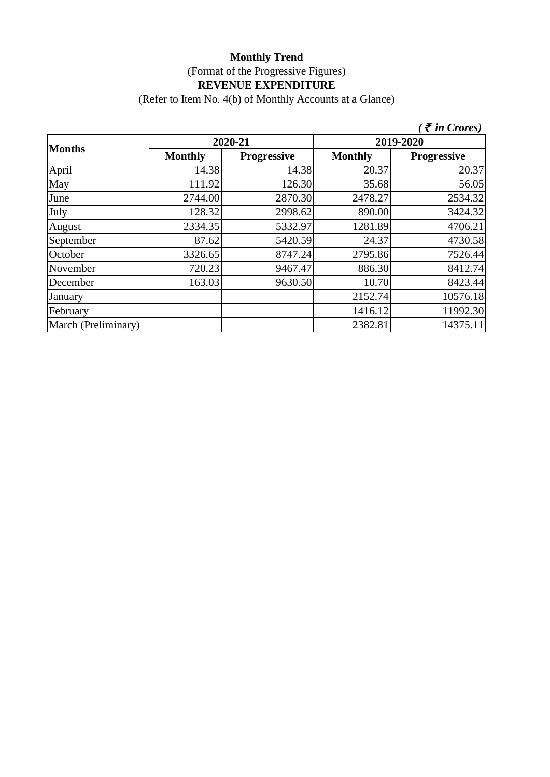(Refer to Item No. 4(b) of Monthly Accounts at a Glance)

|                     |                |                    |                | $\zeta$ $\bar{\zeta}$ in Crores) |  |
|---------------------|----------------|--------------------|----------------|----------------------------------|--|
| <b>Months</b>       |                | 2020-21            | 2019-2020      |                                  |  |
|                     | <b>Monthly</b> | <b>Progressive</b> | <b>Monthly</b> | <b>Progressive</b>               |  |
| April               | 14.38          | 14.38              | 20.37          | 20.37                            |  |
| May                 | 111.92         | 126.30             | 35.68          | 56.05                            |  |
| June                | 2744.00        | 2870.30            | 2478.27        | 2534.32                          |  |
| July                | 128.32         | 2998.62            | 890.00         | 3424.32                          |  |
| August              | 2334.35        | 5332.97            | 1281.89        | 4706.21                          |  |
| September           | 87.62          | 5420.59            | 24.37          | 4730.58                          |  |
| October             | 3326.65        | 8747.24            | 2795.86        | 7526.44                          |  |
| November            | 720.23         | 9467.47            | 886.30         | 8412.74                          |  |
| December            | 163.03         | 9630.50            | 10.70          | 8423.44                          |  |
| January             |                |                    | 2152.74        | 10576.18                         |  |
| February            |                |                    | 1416.12        | 11992.30                         |  |
| March (Preliminary) |                |                    | 2382.81        | 14375.11                         |  |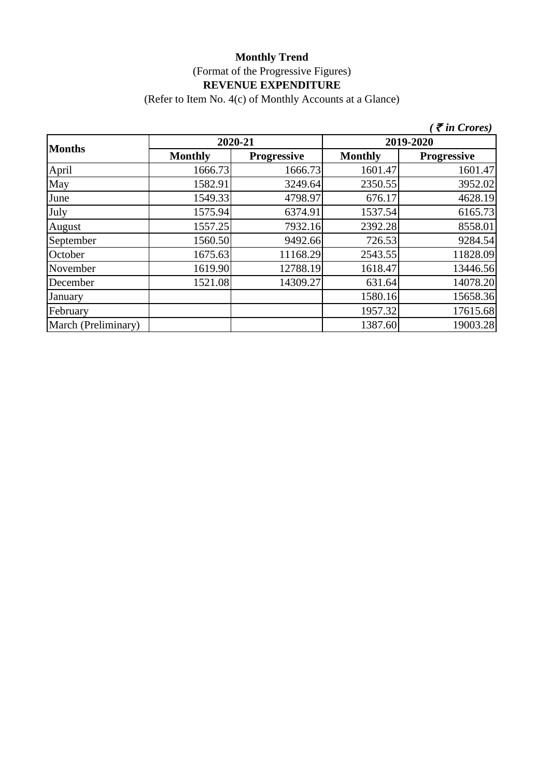(Refer to Item No. 4(c) of Monthly Accounts at a Glance)

|                     |                |                    |                | $\zeta$ $\bar{\zeta}$ in Crores) |  |
|---------------------|----------------|--------------------|----------------|----------------------------------|--|
| <b>Months</b>       | 2020-21        |                    | 2019-2020      |                                  |  |
|                     | <b>Monthly</b> | <b>Progressive</b> | <b>Monthly</b> | <b>Progressive</b>               |  |
| April               | 1666.73        | 1666.73            | 1601.47        | 1601.47                          |  |
| May                 | 1582.91        | 3249.64            | 2350.55        | 3952.02                          |  |
| June                | 1549.33        | 4798.97            | 676.17         | 4628.19                          |  |
| July                | 1575.94        | 6374.91            | 1537.54        | 6165.73                          |  |
| August              | 1557.25        | 7932.16            | 2392.28        | 8558.01                          |  |
| September           | 1560.50        | 9492.66            | 726.53         | 9284.54                          |  |
| October             | 1675.63        | 11168.29           | 2543.55        | 11828.09                         |  |
| November            | 1619.90        | 12788.19           | 1618.47        | 13446.56                         |  |
| December            | 1521.08        | 14309.27           | 631.64         | 14078.20                         |  |
| January             |                |                    | 1580.16        | 15658.36                         |  |
| February            |                |                    | 1957.32        | 17615.68                         |  |
| March (Preliminary) |                |                    | 1387.60        | 19003.28                         |  |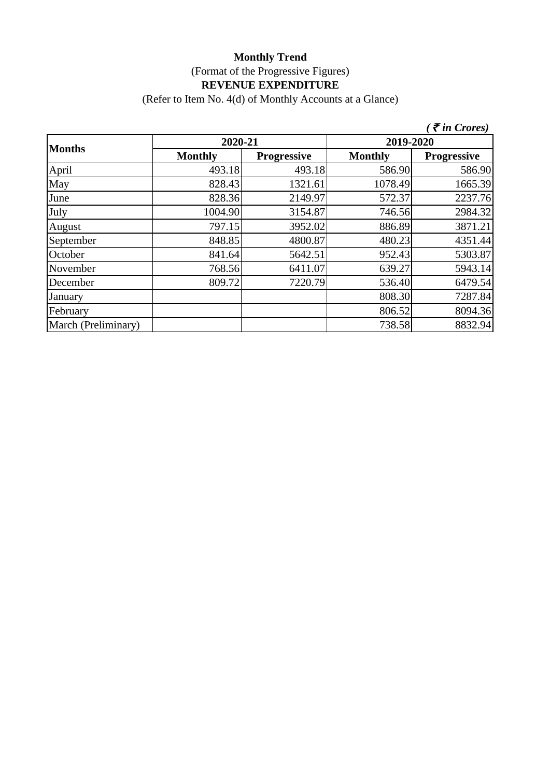(Refer to Item No. 4(d) of Monthly Accounts at a Glance)

|                     |                |                    |                | $\zeta$ $\bar{\zeta}$ in Crores) |  |
|---------------------|----------------|--------------------|----------------|----------------------------------|--|
| <b>Months</b>       | 2020-21        |                    | 2019-2020      |                                  |  |
|                     | <b>Monthly</b> | <b>Progressive</b> | <b>Monthly</b> | <b>Progressive</b>               |  |
| April               | 493.18         | 493.18             | 586.90         | 586.90                           |  |
| May                 | 828.43         | 1321.61            | 1078.49        | 1665.39                          |  |
| June                | 828.36         | 2149.97            | 572.37         | 2237.76                          |  |
| July                | 1004.90        | 3154.87            | 746.56         | 2984.32                          |  |
| August              | 797.15         | 3952.02            | 886.89         | 3871.21                          |  |
| September           | 848.85         | 4800.87            | 480.23         | 4351.44                          |  |
| October             | 841.64         | 5642.51            | 952.43         | 5303.87                          |  |
| November            | 768.56         | 6411.07            | 639.27         | 5943.14                          |  |
| December            | 809.72         | 7220.79            | 536.40         | 6479.54                          |  |
| January             |                |                    | 808.30         | 7287.84                          |  |
| February            |                |                    | 806.52         | 8094.36                          |  |
| March (Preliminary) |                |                    | 738.58         | 8832.94                          |  |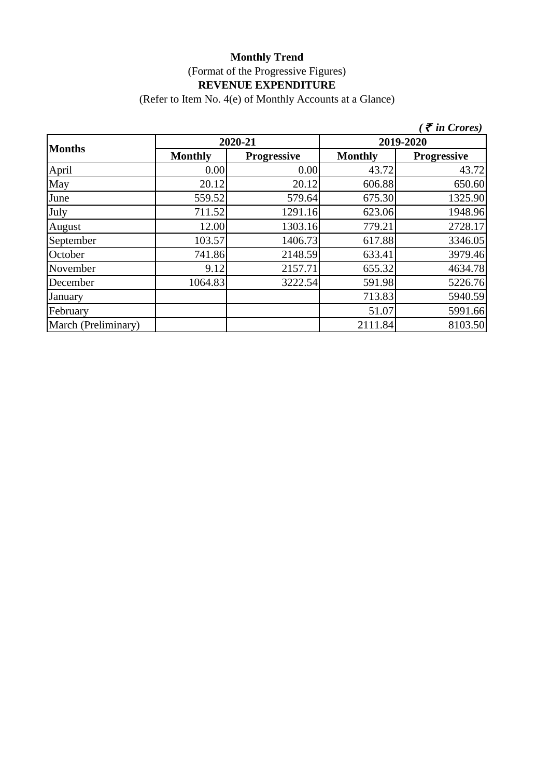(Refer to Item No. 4(e) of Monthly Accounts at a Glance)

|                     |                |                    |                | $\zeta$ <i>(† in Crores)</i> |
|---------------------|----------------|--------------------|----------------|------------------------------|
| <b>Months</b>       | 2020-21        |                    | 2019-2020      |                              |
|                     | <b>Monthly</b> | <b>Progressive</b> | <b>Monthly</b> | <b>Progressive</b>           |
| April               | 0.00           | 0.00               | 43.72          | 43.72                        |
| May                 | 20.12          | 20.12              | 606.88         | 650.60                       |
| June                | 559.52         | 579.64             | 675.30         | 1325.90                      |
| July                | 711.52         | 1291.16            | 623.06         | 1948.96                      |
| August              | 12.00          | 1303.16            | 779.21         | 2728.17                      |
| September           | 103.57         | 1406.73            | 617.88         | 3346.05                      |
| October             | 741.86         | 2148.59            | 633.41         | 3979.46                      |
| November            | 9.12           | 2157.71            | 655.32         | 4634.78                      |
| December            | 1064.83        | 3222.54            | 591.98         | 5226.76                      |
| January             |                |                    | 713.83         | 5940.59                      |
| February            |                |                    | 51.07          | 5991.66                      |
| March (Preliminary) |                |                    | 2111.84        | 8103.50                      |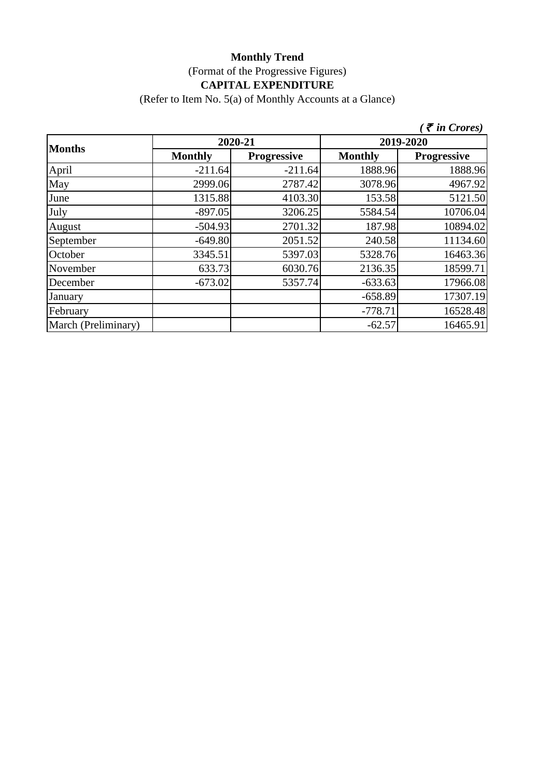# **Monthly Trend** (Format of the Progressive Figures) **CAPITAL EXPENDITURE**

(Refer to Item No. 5(a) of Monthly Accounts at a Glance)

|                     |                |                    |                | $\zeta$ $\bar{\zeta}$ in Crores) |
|---------------------|----------------|--------------------|----------------|----------------------------------|
| <b>Months</b>       | 2020-21        |                    | 2019-2020      |                                  |
|                     | <b>Monthly</b> | <b>Progressive</b> | <b>Monthly</b> | <b>Progressive</b>               |
| April               | $-211.64$      | $-211.64$          | 1888.96        | 1888.96                          |
| May                 | 2999.06        | 2787.42            | 3078.96        | 4967.92                          |
| June                | 1315.88        | 4103.30            | 153.58         | 5121.50                          |
| July                | $-897.05$      | 3206.25            | 5584.54        | 10706.04                         |
| August              | $-504.93$      | 2701.32            | 187.98         | 10894.02                         |
| September           | $-649.80$      | 2051.52            | 240.58         | 11134.60                         |
| October             | 3345.51        | 5397.03            | 5328.76        | 16463.36                         |
| November            | 633.73         | 6030.76            | 2136.35        | 18599.71                         |
| December            | $-673.02$      | 5357.74            | $-633.63$      | 17966.08                         |
| January             |                |                    | $-658.89$      | 17307.19                         |
| February            |                |                    | $-778.71$      | 16528.48                         |
| March (Preliminary) |                |                    | $-62.57$       | 16465.91                         |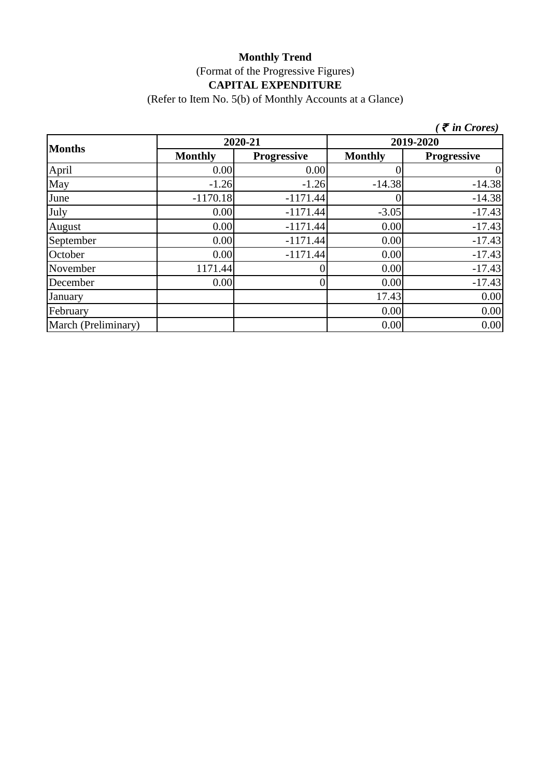# **Monthly Trend** (Format of the Progressive Figures) **CAPITAL EXPENDITURE**

(Refer to Item No. 5(b) of Monthly Accounts at a Glance)

|                     |                |                    |                | $\zeta$ $\bar{\zeta}$ in Crores) |
|---------------------|----------------|--------------------|----------------|----------------------------------|
| <b>Months</b>       | 2020-21        |                    | 2019-2020      |                                  |
|                     | <b>Monthly</b> | <b>Progressive</b> | <b>Monthly</b> | <b>Progressive</b>               |
| April               | 0.00           | 0.00               |                | $\overline{0}$                   |
| May                 | $-1.26$        | $-1.26$            | $-14.38$       | $-14.38$                         |
| June                | $-1170.18$     | $-1171.44$         |                | $-14.38$                         |
| July                | 0.00           | $-1171.44$         | $-3.05$        | $-17.43$                         |
| August              | 0.00           | $-1171.44$         | 0.00           | $-17.43$                         |
| September           | 0.00           | $-1171.44$         | 0.00           | $-17.43$                         |
| October             | 0.00           | $-1171.44$         | 0.00           | $-17.43$                         |
| November            | 1171.44        |                    | 0.00           | $-17.43$                         |
| December            | 0.00           |                    | 0.00           | $-17.43$                         |
| January             |                |                    | 17.43          | 0.00                             |
| February            |                |                    | 0.00           | 0.00                             |
| March (Preliminary) |                |                    | 0.00           | 0.00                             |